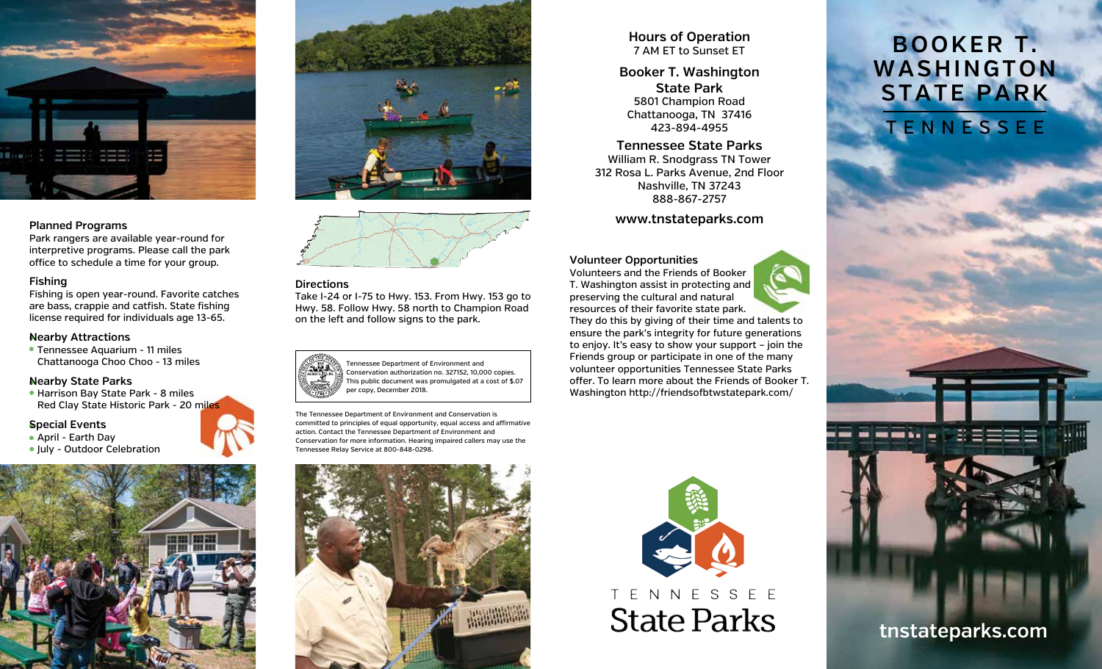

#### **Planned Programs**

Park rangers are available year-round for interpretive programs. Please call the park office to schedule a time for your group.

#### **Fishing**

Fishing is open year-round. Favorite catches are bass, crappie and catfish. State fishing license required for individuals age 13-65.

#### **Nearby Attractions**

 Tennessee Aquarium - 11 miles Chattanooga Choo Choo - 13 miles

#### **Nearby State Parks**

 Harrison Bay State Park - 8 miles Red Clay State Historic Park - 20 miles

#### **Special Events**

- April Earth Day
- July Outdoor Celebration







## **Directions**

Take I-24 or I-75 to Hwy. 153. From Hwy. 153 go to Hwy. 58. Follow Hwy. 58 north to Champion Road on the left and follow signs to the park.



The Tennessee Department of Environment and Conservation is committed to principles of equal opportunity, equal access and affirmative action. Contact the Tennessee Department of Environment and Conservation for more information. Hearing impaired callers may use the Tennessee Relay Service at 800-848-0298.



**Hours of Operation** 7 AM ET to Sunset ET

### **Booker T. Washington State Park** 5801 Champion Road Chattanooga, TN 37416 423-894-4955

## **Tennessee State Parks**

William R. Snodgrass TN Tower 312 Rosa L. Parks Avenue, 2nd Floor Nashville, TN 37243 888-867-2757

**www.tnstateparks.com**

#### **Volunteer Opportunities**



preserving the cultural and natural resources of their favorite state park. They do this by giving of their time and talents to ensure the park's integrity for future generations to enjoy. It's easy to show your support – join the Friends group or participate in one of the many volunteer opportunities Tennessee State Parks offer. To learn more about the Friends of Booker T. Washington http://friendsofbtwstatepark.com/



# T E N N E S S E E **State Parks**

## **BOOKER T. WASHINGTON STATE PARK**



**tnstateparks.com**

--